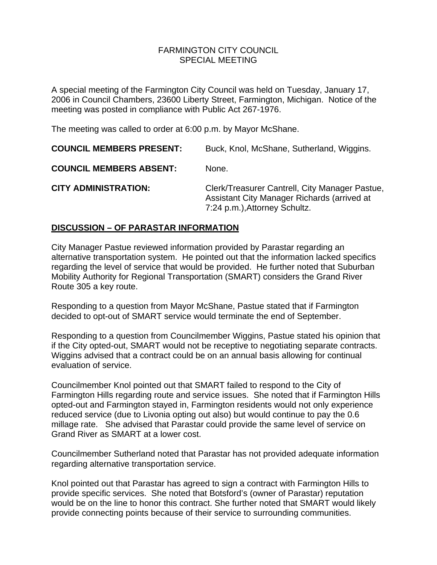#### FARMINGTON CITY COUNCILSPECIAL MEETING

A special meeting of the Farmington City Council was held on Tuesday, January 17, 2006 in Council Chambers, 23600 Liberty Street, Farmington, Michigan. Notice of the meeting was posted in compliance with Public Act 267-1976.

The meeting was called to order at 6:00 p.m. by Mayor McShane.

**COUNCIL MEMBERS PRESENT:** Buck, Knol, McShane, Sutherland, Wiggins. **COUNCIL MEMBERS ABSENT:** None. **CITY ADMINISTRATION:** Clerk/Treasurer Cantrell, City Manager Pastue, Assistant City Manager Richards (arrived at 7:24 p.m.),Attorney Schultz.

# **DISCUSSION – OF PARASTAR INFORMATION**

City Manager Pastue reviewed information provided by Parastar regarding an alternative transportation system. He pointed out that the information lacked specifics regarding the level of service that would be provided. He further noted that Suburban Mobility Authority for Regional Transportation (SMART) considers the Grand River Route 305 a key route.

Responding to a question from Mayor McShane, Pastue stated that if Farmington decided to opt-out of SMART service would terminate the end of September.

Responding to a question from Councilmember Wiggins, Pastue stated his opinion that if the City opted-out, SMART would not be receptive to negotiating separate contracts. Wiggins advised that a contract could be on an annual basis allowing for continual evaluation of service.

Councilmember Knol pointed out that SMART failed to respond to the City of Farmington Hills regarding route and service issues. She noted that if Farmington Hills opted-out and Farmington stayed in, Farmington residents would not only experience reduced service (due to Livonia opting out also) but would continue to pay the 0.6 millage rate. She advised that Parastar could provide the same level of service on Grand River as SMART at a lower cost.

Councilmember Sutherland noted that Parastar has not provided adequate information regarding alternative transportation service.

Knol pointed out that Parastar has agreed to sign a contract with Farmington Hills to provide specific services. She noted that Botsford's (owner of Parastar) reputation would be on the line to honor this contract. She further noted that SMART would likely provide connecting points because of their service to surrounding communities.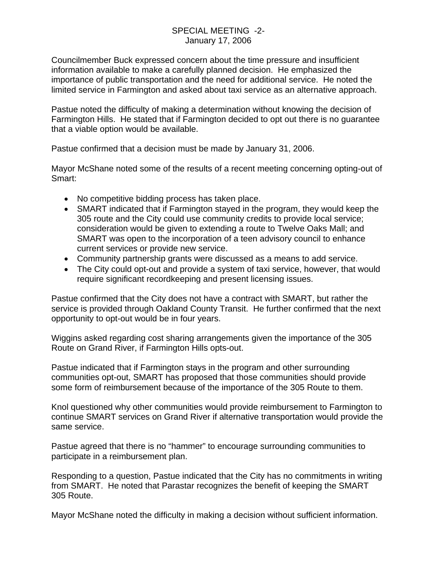Councilmember Buck expressed concern about the time pressure and insufficient information available to make a carefully planned decision. He emphasized the importance of public transportation and the need for additional service. He noted the limited service in Farmington and asked about taxi service as an alternative approach.

Pastue noted the difficulty of making a determination without knowing the decision of Farmington Hills. He stated that if Farmington decided to opt out there is no guarantee that a viable option would be available.

Pastue confirmed that a decision must be made by January 31, 2006.

Mayor McShane noted some of the results of a recent meeting concerning opting-out of Smart:

- No competitive bidding process has taken place.
- SMART indicated that if Farmington stayed in the program, they would keep the 305 route and the City could use community credits to provide local service; consideration would be given to extending a route to Twelve Oaks Mall; and SMART was open to the incorporation of a teen advisory council to enhance current services or provide new service.
- Community partnership grants were discussed as a means to add service.
- The City could opt-out and provide a system of taxi service, however, that would require significant recordkeeping and present licensing issues.

Pastue confirmed that the City does not have a contract with SMART, but rather the service is provided through Oakland County Transit. He further confirmed that the next opportunity to opt-out would be in four years.

Wiggins asked regarding cost sharing arrangements given the importance of the 305 Route on Grand River, if Farmington Hills opts-out.

Pastue indicated that if Farmington stays in the program and other surrounding communities opt-out, SMART has proposed that those communities should provide some form of reimbursement because of the importance of the 305 Route to them.

Knol questioned why other communities would provide reimbursement to Farmington to continue SMART services on Grand River if alternative transportation would provide the same service.

Pastue agreed that there is no "hammer" to encourage surrounding communities to participate in a reimbursement plan.

Responding to a question, Pastue indicated that the City has no commitments in writing from SMART. He noted that Parastar recognizes the benefit of keeping the SMART 305 Route.

Mayor McShane noted the difficulty in making a decision without sufficient information.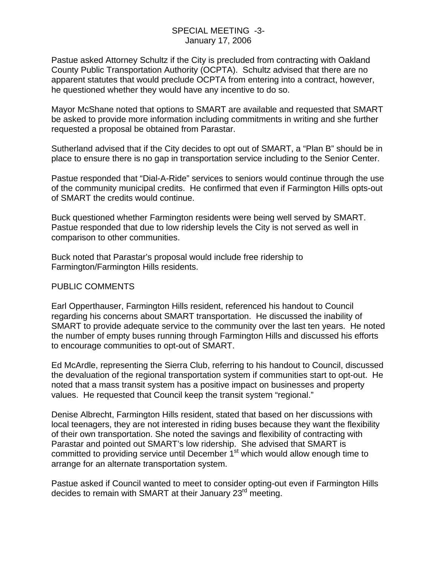Pastue asked Attorney Schultz if the City is precluded from contracting with Oakland County Public Transportation Authority (OCPTA). Schultz advised that there are no apparent statutes that would preclude OCPTA from entering into a contract, however, he questioned whether they would have any incentive to do so.

Mayor McShane noted that options to SMART are available and requested that SMART be asked to provide more information including commitments in writing and she further requested a proposal be obtained from Parastar.

Sutherland advised that if the City decides to opt out of SMART, a "Plan B" should be in place to ensure there is no gap in transportation service including to the Senior Center.

Pastue responded that "Dial-A-Ride" services to seniors would continue through the use of the community municipal credits. He confirmed that even if Farmington Hills opts-out of SMART the credits would continue.

Buck questioned whether Farmington residents were being well served by SMART. Pastue responded that due to low ridership levels the City is not served as well in comparison to other communities.

Buck noted that Parastar's proposal would include free ridership to Farmington/Farmington Hills residents.

## PUBLIC COMMENTS

Earl Opperthauser, Farmington Hills resident, referenced his handout to Council regarding his concerns about SMART transportation. He discussed the inability of SMART to provide adequate service to the community over the last ten years. He noted the number of empty buses running through Farmington Hills and discussed his efforts to encourage communities to opt-out of SMART.

Ed McArdle, representing the Sierra Club, referring to his handout to Council, discussed the devaluation of the regional transportation system if communities start to opt-out. He noted that a mass transit system has a positive impact on businesses and property values. He requested that Council keep the transit system "regional."

Denise Albrecht, Farmington Hills resident, stated that based on her discussions with local teenagers, they are not interested in riding buses because they want the flexibility of their own transportation. She noted the savings and flexibility of contracting with Parastar and pointed out SMART's low ridership. She advised that SMART is committed to providing service until December  $1<sup>st</sup>$  which would allow enough time to arrange for an alternate transportation system.

Pastue asked if Council wanted to meet to consider opting-out even if Farmington Hills decides to remain with SMART at their January 23<sup>rd</sup> meeting.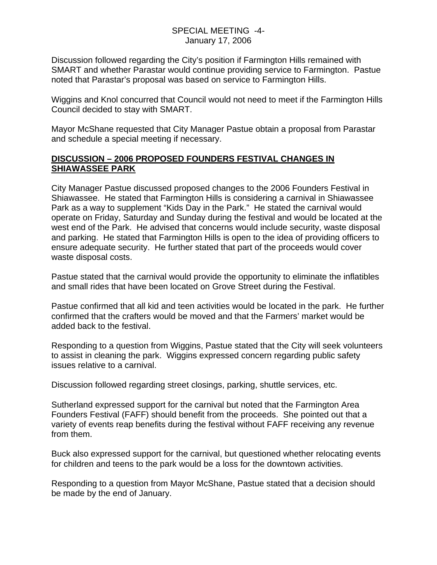### SPECIAL MEETING -4- January 17, 2006

Discussion followed regarding the City's position if Farmington Hills remained with SMART and whether Parastar would continue providing service to Farmington. Pastue noted that Parastar's proposal was based on service to Farmington Hills.

Wiggins and Knol concurred that Council would not need to meet if the Farmington Hills Council decided to stay with SMART.

Mayor McShane requested that City Manager Pastue obtain a proposal from Parastar and schedule a special meeting if necessary.

# **DISCUSSION – 2006 PROPOSED FOUNDERS FESTIVAL CHANGES IN SHIAWASSEE PARK**

City Manager Pastue discussed proposed changes to the 2006 Founders Festival in Shiawassee. He stated that Farmington Hills is considering a carnival in Shiawassee Park as a way to supplement "Kids Day in the Park." He stated the carnival would operate on Friday, Saturday and Sunday during the festival and would be located at the west end of the Park. He advised that concerns would include security, waste disposal and parking. He stated that Farmington Hills is open to the idea of providing officers to ensure adequate security. He further stated that part of the proceeds would cover waste disposal costs.

Pastue stated that the carnival would provide the opportunity to eliminate the inflatibles and small rides that have been located on Grove Street during the Festival.

Pastue confirmed that all kid and teen activities would be located in the park. He further confirmed that the crafters would be moved and that the Farmers' market would be added back to the festival.

Responding to a question from Wiggins, Pastue stated that the City will seek volunteers to assist in cleaning the park. Wiggins expressed concern regarding public safety issues relative to a carnival.

Discussion followed regarding street closings, parking, shuttle services, etc.

Sutherland expressed support for the carnival but noted that the Farmington Area Founders Festival (FAFF) should benefit from the proceeds. She pointed out that a variety of events reap benefits during the festival without FAFF receiving any revenue from them.

Buck also expressed support for the carnival, but questioned whether relocating events for children and teens to the park would be a loss for the downtown activities.

Responding to a question from Mayor McShane, Pastue stated that a decision should be made by the end of January.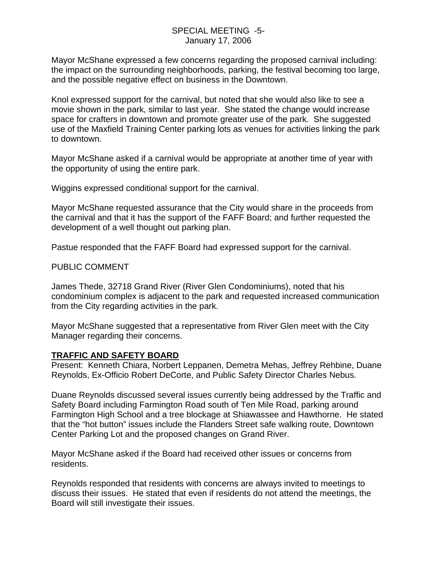Mayor McShane expressed a few concerns regarding the proposed carnival including: the impact on the surrounding neighborhoods, parking, the festival becoming too large, and the possible negative effect on business in the Downtown.

Knol expressed support for the carnival, but noted that she would also like to see a movie shown in the park, similar to last year. She stated the change would increase space for crafters in downtown and promote greater use of the park. She suggested use of the Maxfield Training Center parking lots as venues for activities linking the park to downtown.

Mayor McShane asked if a carnival would be appropriate at another time of year with the opportunity of using the entire park.

Wiggins expressed conditional support for the carnival.

Mayor McShane requested assurance that the City would share in the proceeds from the carnival and that it has the support of the FAFF Board; and further requested the development of a well thought out parking plan.

Pastue responded that the FAFF Board had expressed support for the carnival.

### PUBLIC COMMENT

James Thede, 32718 Grand River (River Glen Condominiums), noted that his condominium complex is adjacent to the park and requested increased communication from the City regarding activities in the park.

Mayor McShane suggested that a representative from River Glen meet with the City Manager regarding their concerns.

## **TRAFFIC AND SAFETY BOARD**

Present: Kenneth Chiara, Norbert Leppanen, Demetra Mehas, Jeffrey Rehbine, Duane Reynolds, Ex-Officio Robert DeCorte, and Public Safety Director Charles Nebus.

Duane Reynolds discussed several issues currently being addressed by the Traffic and Safety Board including Farmington Road south of Ten Mile Road, parking around Farmington High School and a tree blockage at Shiawassee and Hawthorne. He stated that the "hot button" issues include the Flanders Street safe walking route, Downtown Center Parking Lot and the proposed changes on Grand River.

Mayor McShane asked if the Board had received other issues or concerns from residents.

Reynolds responded that residents with concerns are always invited to meetings to discuss their issues. He stated that even if residents do not attend the meetings, the Board will still investigate their issues.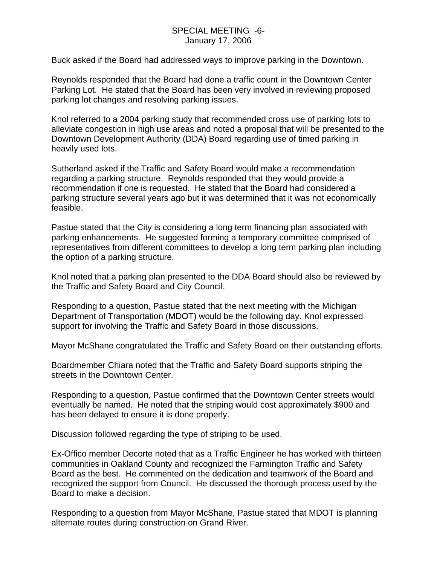### SPECIAL MEETING -6- January 17, 2006

Buck asked if the Board had addressed ways to improve parking in the Downtown.

Reynolds responded that the Board had done a traffic count in the Downtown Center Parking Lot. He stated that the Board has been very involved in reviewing proposed parking lot changes and resolving parking issues.

Knol referred to a 2004 parking study that recommended cross use of parking lots to alleviate congestion in high use areas and noted a proposal that will be presented to the Downtown Development Authority (DDA) Board regarding use of timed parking in heavily used lots.

Sutherland asked if the Traffic and Safety Board would make a recommendation regarding a parking structure. Reynolds responded that they would provide a recommendation if one is requested. He stated that the Board had considered a parking structure several years ago but it was determined that it was not economically feasible.

Pastue stated that the City is considering a long term financing plan associated with parking enhancements. He suggested forming a temporary committee comprised of representatives from different committees to develop a long term parking plan including the option of a parking structure.

Knol noted that a parking plan presented to the DDA Board should also be reviewed by the Traffic and Safety Board and City Council.

Responding to a question, Pastue stated that the next meeting with the Michigan Department of Transportation (MDOT) would be the following day. Knol expressed support for involving the Traffic and Safety Board in those discussions.

Mayor McShane congratulated the Traffic and Safety Board on their outstanding efforts.

Boardmember Chiara noted that the Traffic and Safety Board supports striping the streets in the Downtown Center.

Responding to a question, Pastue confirmed that the Downtown Center streets would eventually be named. He noted that the striping would cost approximately \$900 and has been delayed to ensure it is done properly.

Discussion followed regarding the type of striping to be used.

Ex-Offico member Decorte noted that as a Traffic Engineer he has worked with thirteen communities in Oakland County and recognized the Farmington Traffic and Safety Board as the best. He commented on the dedication and teamwork of the Board and recognized the support from Council. He discussed the thorough process used by the Board to make a decision.

Responding to a question from Mayor McShane, Pastue stated that MDOT is planning alternate routes during construction on Grand River.